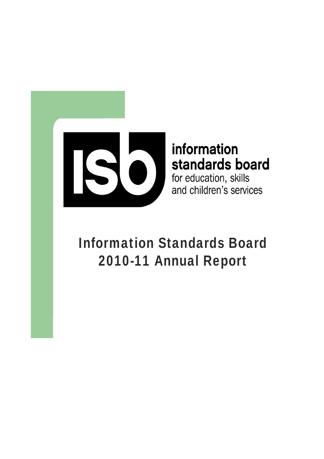

## information standards board for education, skills and children's services

# Information Standards Board 2010-11 Annual Report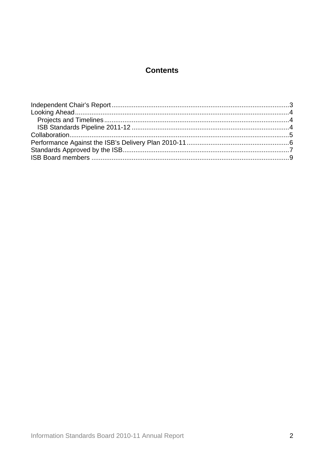## **Contents**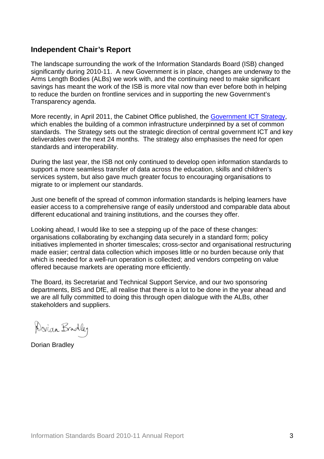#### <span id="page-2-0"></span>**Independent Chair's Report**

The landscape surrounding the work of the Information Standards Board (ISB) changed significantly during 2010-11. A new Government is in place, changes are underway to the Arms Length Bodies (ALBs) we work with, and the continuing need to make significant savings has meant the work of the ISB is more vital now than ever before both in helping to reduce the burden on frontline services and in supporting the new Government's Transparency agenda.

More recently, in April 2011, the Cabinet Office published, the [Government ICT Strategy,](https://www.gov.uk/government/collections/ict-strategy-resources) which enables the building of a common infrastructure underpinned by a set of common standards. The Strategy sets out the strategic direction of central government ICT and key deliverables over the next 24 months. The strategy also emphasises the need for open standards and interoperability.

During the last year, the ISB not only continued to develop open information standards to support a more seamless transfer of data across the education, skills and children's services system, but also gave much greater focus to encouraging organisations to migrate to or implement our standards.

Just one benefit of the spread of common information standards is helping learners have easier access to a comprehensive range of easily understood and comparable data about different educational and training institutions, and the courses they offer.

Looking ahead, I would like to see a stepping up of the pace of these changes: organisations collaborating by exchanging data securely in a standard form; policy initiatives implemented in shorter timescales; cross-sector and organisational restructuring made easier; central data collection which imposes little or no burden because only that which is needed for a well-run operation is collected; and vendors competing on value offered because markets are operating more efficiently.

The Board, its Secretariat and Technical Support Service, and our two sponsoring departments, BIS and DfE, all realise that there is a lot to be done in the year ahead and we are all fully committed to doing this through open dialogue with the ALBs, other stakeholders and suppliers.

Dovian Bradley

[Dorian Bradley](http://data.gov.uk/education-standards/about-isb)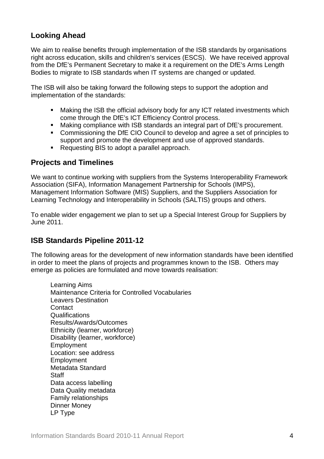## <span id="page-3-0"></span>**Looking Ahead**

We aim to realise benefits through implementation of the ISB standards by organisations right across education, skills and children's services (ESCS). We have received approval from the DfE's Permanent Secretary to make it a requirement on the DfE's Arms Length Bodies to migrate to ISB standards when IT systems are changed or updated.

The ISB will also be taking forward the following steps to support the adoption and implementation of the standards:

- Making the ISB the official advisory body for any ICT related investments which come through the DfE's ICT Efficiency Control process.
- Making compliance with ISB standards an integral part of DfE's procurement.
- Commissioning the DfE CIO Council to develop and agree a set of principles to support and promote the development and use of approved standards.
- Requesting BIS to adopt a parallel approach.

#### <span id="page-3-1"></span>**Projects and Timelines**

We want to continue working with suppliers from the Systems Interoperability Framework Association (SIFA), Information Management Partnership for Schools (IMPS), Management Information Software (MIS) Suppliers, and the Suppliers Association for Learning Technology and Interoperability in Schools (SALTIS) groups and others.

To enable wider engagement we plan to set up a Special Interest Group for Suppliers by June 2011.

## <span id="page-3-2"></span>**ISB Standards Pipeline 2011-12**

The following areas for the development of new information standards have been identified in order to meet the plans of projects and programmes known to the ISB. Others may emerge as policies are formulated and move towards realisation:

Learning Aims Maintenance Criteria for Controlled Vocabularies Leavers Destination **Contact Qualifications** Results/Awards/Outcomes Ethnicity (learner, workforce) Disability (learner, workforce) **Employment** Location: see address Employment Metadata Standard **Staff** Data access labelling Data Quality metadata Family relationships Dinner Money LP Type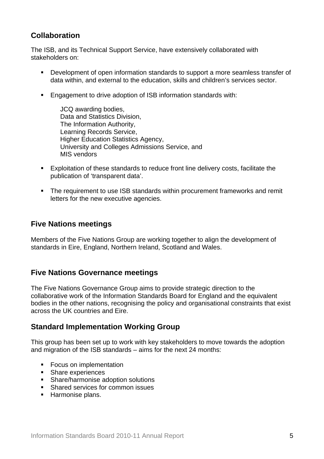## <span id="page-4-0"></span>**Collaboration**

The ISB, and its Technical Support Service, have extensively collaborated with stakeholders on:

- Development of open information standards to support a more seamless transfer of data within, and external to the education, skills and children's services sector.
- Engagement to drive adoption of ISB information standards with:

JCQ awarding bodies, Data and Statistics Division, The Information Authority, Learning Records Service, Higher Education Statistics Agency, University and Colleges Admissions Service, and MIS vendors

- Exploitation of these standards to reduce front line delivery costs, facilitate the publication of 'transparent data'.
- The requirement to use ISB standards within procurement frameworks and remit letters for the new executive agencies.

#### **Five Nations meetings**

Members of the Five Nations Group are working together to align the development of standards in Eire, England, Northern Ireland, Scotland and Wales.

## **Five Nations Governance meetings**

The Five Nations Governance Group aims to provide strategic direction to the collaborative work of the Information Standards Board for England and the equivalent bodies in the other nations, recognising the policy and organisational constraints that exist across the UK countries and Eire.

#### **Standard Implementation Working Group**

This group has been set up to work with key stakeholders to move towards the adoption and migration of the ISB standards – aims for the next 24 months:

- Focus on implementation
- **Share experiences**
- **Share/harmonise adoption solutions**
- **Shared services for common issues**
- **Harmonise plans.**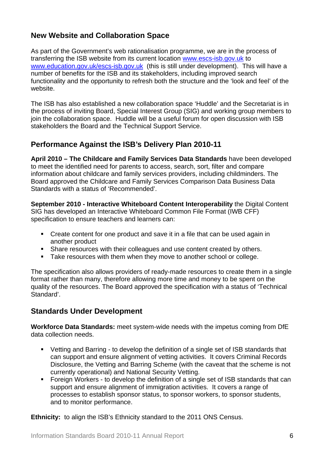## **New Website and Collaboration Space**

As part of the Government's web rationalisation programme, we are in the process of transferring the ISB website from its current location [www.escs-isb.gov.uk](http://data.gov.uk/education-standards/) to [www.education.gov.uk/escs-isb.gov.uk](http://data.gov.uk/education-standards/) (this is still under development). This will have a number of benefits for the ISB and its stakeholders, including improved search functionality and the opportunity to refresh both the structure and the 'look and feel' of the website.

The ISB has also established a new collaboration space 'Huddle' and the Secretariat is in the process of inviting Board, Special Interest Group (SIG) and working group members to join the collaboration space. Huddle will be a useful forum for open discussion with ISB stakeholders the Board and the Technical Support Service.

## <span id="page-5-0"></span>**Performance Against the ISB's Delivery Plan 2010-11**

**April 2010 – The Childcare and Family Services Data Standards** have been developed to meet the identified need for parents to access, search, sort, filter and compare information about childcare and family services providers, including childminders. The Board approved the Childcare and Family Services Comparison Data Business Data Standards with a status of 'Recommended'.

**September 2010 - Interactive Whiteboard Content Interoperability** the Digital Content SIG has developed an Interactive Whiteboard Common File Format (IWB CFF) specification to ensure teachers and learners can:

- Create content for one product and save it in a file that can be used again in another product
- Share resources with their colleagues and use content created by others.
- **Take resources with them when they move to another school or college.**

The specification also allows providers of ready-made resources to create them in a single format rather than many, therefore allowing more time and money to be spent on the quality of the resources. The Board approved the specification with a status of 'Technical Standard'.

## **Standards Under Development**

**Workforce Data Standards:** meet system-wide needs with the impetus coming from DfE data collection needs.

- Vetting and Barring to develop the definition of a single set of ISB standards that can support and ensure alignment of vetting activities. It covers Criminal Records Disclosure, the Vetting and Barring Scheme (with the caveat that the scheme is not currently operational) and National Security Vetting.
- Foreign Workers to develop the definition of a single set of ISB standards that can support and ensure alignment of immigration activities. It covers a range of processes to establish sponsor status, to sponsor workers, to sponsor students, and to monitor performance.

**Ethnicity:** to align the ISB's Ethnicity standard to the 2011 ONS Census.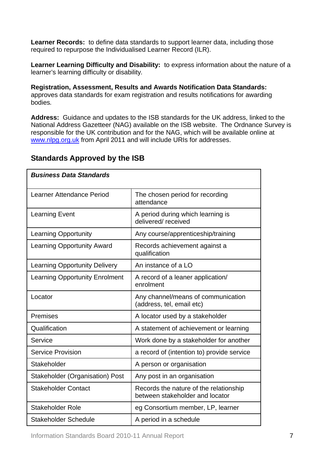**Learner Records:** to define data standards to support learner data, including those required to repurpose the Individualised Learner Record (ILR).

**Learner Learning Difficulty and Disability:** to express information about the nature of a learner's learning difficulty or disability*.*

**Registration, Assessment, Results and Awards Notification Data Standards:**  approves data standards for exam registration and results notifications for awarding bodies*.* 

**Address:** Guidance and updates to the ISB standards for the UK address, linked to the National Address Gazetteer (NAG) available on the ISB website. The Ordnance Survey is responsible for the UK contribution and for the NAG, which will be available online at [www.nlpg.org.uk](http://www.nlpg.org.uk/) from April 2011 and will include URIs for addresses.

<span id="page-6-0"></span>

| <b>Business Data Standards</b>         |                                                                           |
|----------------------------------------|---------------------------------------------------------------------------|
| Learner Attendance Period              | The chosen period for recording<br>attendance                             |
| <b>Learning Event</b>                  | A period during which learning is<br>delivered/received                   |
| <b>Learning Opportunity</b>            | Any course/apprenticeship/training                                        |
| <b>Learning Opportunity Award</b>      | Records achievement against a<br>qualification                            |
| <b>Learning Opportunity Delivery</b>   | An instance of a LO                                                       |
| <b>Learning Opportunity Enrolment</b>  | A record of a leaner application/<br>enrolment                            |
| Locator                                | Any channel/means of communication<br>(address, tel, email etc)           |
| <b>Premises</b>                        | A locator used by a stakeholder                                           |
| Qualification                          | A statement of achievement or learning                                    |
| Service                                | Work done by a stakeholder for another                                    |
| <b>Service Provision</b>               | a record of (intention to) provide service                                |
| Stakeholder                            | A person or organisation                                                  |
| <b>Stakeholder (Organisation) Post</b> | Any post in an organisation                                               |
| <b>Stakeholder Contact</b>             | Records the nature of the relationship<br>between stakeholder and locator |
| <b>Stakeholder Role</b>                | eg Consortium member, LP, learner                                         |
| <b>Stakeholder Schedule</b>            | A period in a schedule                                                    |

## **Standards Approved by the ISB**

[Information Standards Board](http://data.gov.uk/education-standards/) 2010-11 Annual Report 7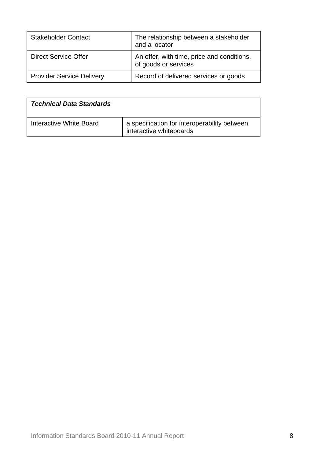| <b>Stakeholder Contact</b>       | The relationship between a stakeholder<br>and a locator            |
|----------------------------------|--------------------------------------------------------------------|
| <b>Direct Service Offer</b>      | An offer, with time, price and conditions,<br>of goods or services |
| <b>Provider Service Delivery</b> | Record of delivered services or goods                              |

| <b>Technical Data Standards</b> |                                                                         |
|---------------------------------|-------------------------------------------------------------------------|
| Interactive White Board         | a specification for interoperability between<br>interactive whiteboards |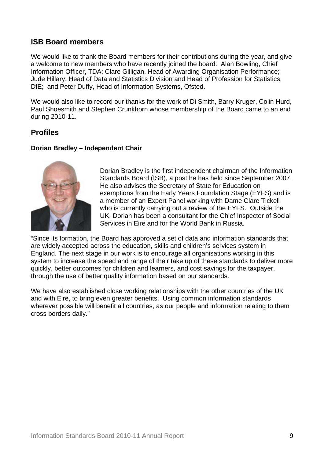#### **[ISB Board members](http://data.gov.uk/education-standards/about-isb)**

We would like to thank the Board members for their contributions during the year, and give a welcome to new members who have recently joined the board: Alan Bowling, Chief Information Officer, TDA; Clare Gilligan, Head of Awarding Organisation Performance; Jude Hillary, Head of Data and Statistics Division and Head of Profession for Statistics, DfE; and Peter Duffy, Head of Information Systems, Ofsted.

We would also like to record our thanks for the work of Di Smith, Barry Kruger, Colin Hurd, Paul Shoesmith and Stephen Crunkhorn whose membership of the Board came to an end during 2010-11.

## **Profiles**

#### **[Dorian Bradley](http://data.gov.uk/education-standards/about-isb) – Independent Chair**

<span id="page-8-0"></span>

Dorian Bradley is the first independent chairman of the Information Standards Board (ISB), a post he has held since September 2007. He also advises the Secretary of State for Education on exemptions from the Early Years Foundation Stage (EYFS) and is a member of an Expert Panel working with Dame Clare Tickell who is currently carrying out a review of the EYFS. Outside the UK, Dorian has been a consultant for the Chief Inspector of Social Services in Eire and for the World Bank in Russia.

"Since its formation, the Board has approved a set of data and information standards that are widely accepted across the education, skills and children's services system in England. The next stage in our work is to encourage all organisations working in this system to increase the speed and range of their take up of these standards to deliver more quickly, better outcomes for children and learners, and cost savings for the taxpayer, through the use of better quality information based on our standards.

We have also established close working relationships with the other countries of the UK and with Eire, to bring even greater benefits. Using common information standards wherever possible will benefit all countries, as our people and information relating to them cross borders daily."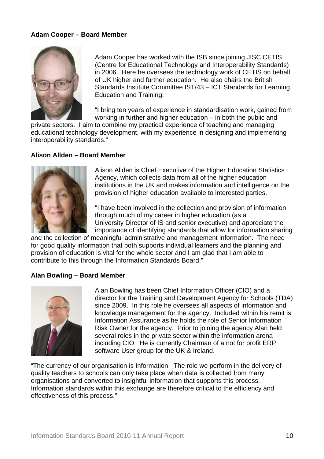#### **[Adam Cooper](http://data.gov.uk/education-standards/about-isb) – Board Member**



Adam Cooper has worked with the ISB since joining JISC CETIS (Centre for Educational Technology and Interoperability Standards) in 2006. Here he oversees the technology work of CETIS on behalf of UK higher and further education. He also chairs the British Standards Institute Committee IST/43 – ICT Standards for Learning Education and Training.

"I bring ten years of experience in standardisation work, gained from working in further and higher education – in both the public and

private sectors. I aim to combine my practical experience of teaching and managing educational technology development, with my experience in designing and implementing interoperability standards."

#### **[Alison Allden](http://data.gov.uk/education-standards/about-isb) – Board Member**



Alison Allden is Chief Executive of the Higher Education Statistics Agency, which collects data from all of the higher education institutions in the UK and makes information and intelligence on the provision of higher education available to interested parties.

"I have been involved in the collection and provision of information through much of my career in higher education (as a University Director of IS and senior executive) and appreciate the importance of identifying standards that allow for information sharing

[and the collection of m](http://data.gov.uk/education-standards/about-isb)eaningful administrative and management information. The need for good quality information that both supports individual learners and the planning and provision of education is vital for the whole sector and I am glad that I am able to contribute to this through the Information Standards Board."

#### **Alan Bowling – Board Member**



Alan Bowling has been Chief Information Officer (CIO) and a director for the Training and Development Agency for Schools (TDA) since 2009. In this role he oversees all aspects of information and knowledge management for the agency. Included within his remit is Information Assurance as he holds the role of Senior Information Risk Owner for the agency. Prior to joining the agency Alan held several roles in the private sector within the information arena including CIO. He is currently Chairman of a not for profit ERP software User group for the UK & Ireland.

"The currency of our organisation is Information. The role we perform in the delivery of quality teachers to schools can only take place when data is collected from many organisations and converted to insightful information that supports this process. Information standards within this exchange are therefore critical to the efficiency and effectiveness of this process."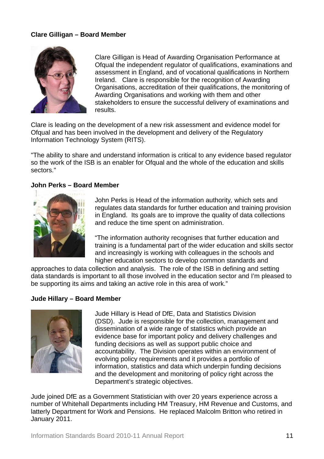#### **[Clare Gilligan](http://data.gov.uk/education-standards/about-isb) – Board Member**



Clare Gilligan is Head of Awarding Organisation Performance at Ofqual the independent regulator of qualifications, examinations and assessment in England, and of vocational qualifications in Northern Ireland. Clare is responsible for the recognition of Awarding Organisations, accreditation of their qualifications, the monitoring of Awarding Organisations and working with them and other stakeholders to ensure the successful delivery of examinations and results.

Clare is leading on the development of a new risk assessment and evidence model for Ofqual and has been involved in the development and delivery of the Regulatory Information Technology System (RITS).

"The ability to share and understand information is critical to any evidence based regulator so the work of the ISB is an enabler for Ofqual and the whole of the education and skills sectors."

#### **[John Perks](http://data.gov.uk/education-standards/about-isb) – Board Member**



John Perks is Head of the information authority*,* which sets and regulates data standards for further education and training provision in England. Its goals are to improve the quality of data collections and reduce the time spent on administration.

"The information authority recognises that further education and training is a fundamental part of the wider education and skills sector and increasingly is working with colleagues in the schools and higher education sectors to develop common standards and

approaches to data collection and analysis. The role of the ISB in defining and setting data standards is important to all those involved in the education sector and I'm pleased to be supporting its aims and taking an active role in this area of work."

#### **[Jude Hillary](http://data.gov.uk/education-standards/about-isb) – Board Member**



Jude Hillary is Head of DfE, Data and Statistics Division (DSD). Jude is responsible for the collection, management and dissemination of a wide range of statistics which provide an evidence base for important policy and delivery challenges and funding decisions as well as support public choice and accountability. The Division operates within an environment of evolving policy requirements and it provides a portfolio of information, statistics and data which underpin funding decisions and the development and monitoring of policy right across the Department's strategic objectives.

Jude joined DfE as a Government Statistician with over 20 years experience across a number of Whitehall Departments including HM Treasury, HM Revenue and Customs, and latterly Department for Work and Pensions. He replaced Malcolm Britton who retired in January 2011.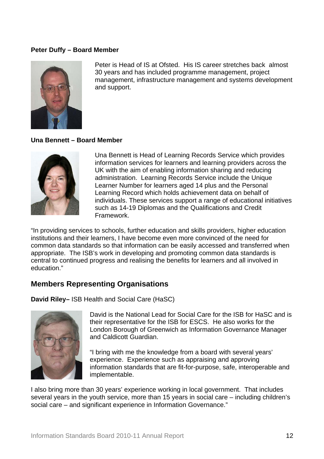#### **[Peter Duffy](http://data.gov.uk/education-standards/about-isb) – Board Member**



Peter is Head of IS at Ofsted. His IS career stretches back almost 30 years and has included programme management, project management, infrastructure management and systems development and support.

#### **[Una Bennett](http://data.gov.uk/education-standards/about-isb) – Board Member**



Una Bennett is Head of Learning Records Service which provides information services for learners and learning providers across the UK with the aim of enabling information sharing and reducing administration. Learning Records Service include the Unique Learner Number for learners aged 14 plus and the Personal Learning Record which holds achievement data on behalf of individuals. These services support a range of educational initiatives such as 14-19 Diplomas and the Qualifications and Credit Framework.

"In providing services to schools, further education and skills providers, higher education institutions and their learners, I have become even more convinced of the need for common data standards so that information can be easily accessed and transferred when appropriate. The ISB's work in developing and promoting common data standards is central to continued progress and realising the benefits for learners and all involved in education."

#### **Members Representing Organisations**

**[David Riley–](http://data.gov.uk/education-standards/about-isb)** ISB Health and Social Care (HaSC)



David is the National Lead for Social Care for the ISB for HaSC and is their representative for the ISB for ESCS. He also works for the London Borough of Greenwich as Information Governance Manager and Caldicott Guardian.

"I bring with me the knowledge from a board with several years' experience. Experience such as appraising and approving information standards that are fit-for-purpose, safe, interoperable and implementable.

I also bring more than 30 years' experience working in local government. That includes several years in the youth service, more than 15 years in social care – including children's social care – and significant experience in Information Governance."